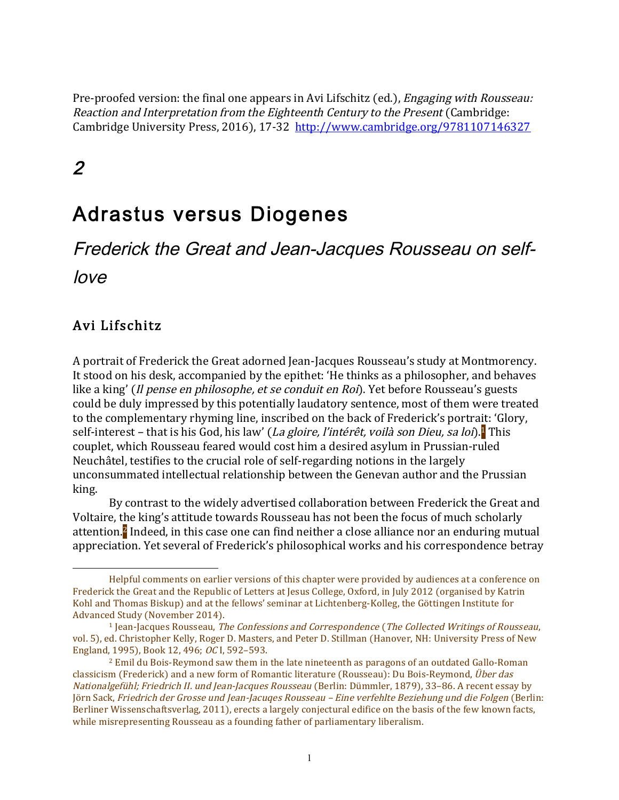Pre-proofed version: the final one appears in Avi Lifschitz (ed.), Engaging with Rousseau: Reaction and Interpretation from the Eighteenth Century to the Present (Cambridge: Cambridge University Press, 2016), 17-32 http://www.cambridge.org/9781107146327

2

 $\overline{a}$ 

# Adrastus versus Diogenes

# Frederick the Great and Jean-Jacques Rousseau on selflove

#### Avi Lifschitz

A portrait of Frederick the Great adorned Jean-Jacques Rousseau's study at Montmorency. It stood on his desk, accompanied by the epithet: 'He thinks as a philosopher, and behaves like a king' (Il pense en philosophe, et se conduit en Roi). Yet before Rousseau's guests could be duly impressed by this potentially laudatory sentence, most of them were treated to the complementary rhyming line, inscribed on the back of Frederick's portrait: 'Glory, self-interest – that is his God, his law' (La gloire, l'intérêt, voilà son Dieu, sa loi).<sup>1</sup> This couplet, which Rousseau feared would cost him a desired asylum in Prussian-ruled Neuchâtel, testifies to the crucial role of self-regarding notions in the largely unconsummated intellectual relationship between the Genevan author and the Prussian king.

By contrast to the widely advertised collaboration between Frederick the Great and Voltaire, the king's attitude towards Rousseau has not been the focus of much scholarly attention.<sup>2</sup> Indeed, in this case one can find neither a close alliance nor an enduring mutual appreciation. Yet several of Frederick's philosophical works and his correspondence betray

Helpful comments on earlier versions of this chapter were provided by audiences at a conference on Frederick the Great and the Republic of Letters at Jesus College, Oxford, in July 2012 (organised by Katrin Kohl and Thomas Biskup) and at the fellows' seminar at Lichtenberg-Kolleg, the Göttingen Institute for Advanced Study (November 2014).

<sup>&</sup>lt;sup>1</sup> Jean-Jacques Rousseau, *The Confessions and Correspondence* (*The Collected Writings of Rousseau*, vol. 5), ed. Christopher Kelly, Roger D. Masters, and Peter D. Stillman (Hanover, NH: University Press of New England, 1995), Book 12, 496; OC I, 592–593.

<sup>2</sup> Emil du Bois-Reymond saw them in the late nineteenth as paragons of an outdated Gallo-Roman classicism (Frederick) and a new form of Romantic literature (Rousseau): Du Bois-Reymond, Über das Nationalgefühl; Friedrich II. und Jean-Jacques Rousseau (Berlin: Dümmler, 1879), 33–86. A recent essay by Jörn Sack, Friedrich der Grosse und Jean-Jacuqes Rousseau – Eine verfehlte Beziehung und die Folgen (Berlin: Berliner Wissenschaftsverlag, 2011), erects a largely conjectural edifice on the basis of the few known facts, while misrepresenting Rousseau as a founding father of parliamentary liberalism.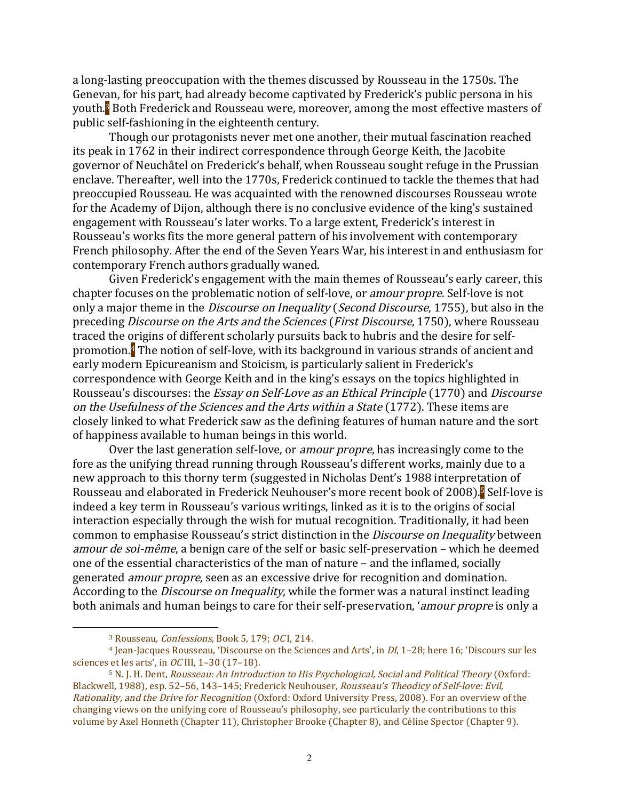a long-lasting preoccupation with the themes discussed by Rousseau in the 1750s. The Genevan, for his part, had already become captivated by Frederick's public persona in his youth.<sup>3</sup> Both Frederick and Rousseau were, moreover, among the most effective masters of public self-fashioning in the eighteenth century.

Though our protagonists never met one another, their mutual fascination reached its peak in 1762 in their indirect correspondence through George Keith, the Jacobite governor of Neuchâtel on Frederick's behalf, when Rousseau sought refuge in the Prussian enclave. Thereafter, well into the 1770s, Frederick continued to tackle the themes that had preoccupied Rousseau. He was acquainted with the renowned discourses Rousseau wrote for the Academy of Dijon, although there is no conclusive evidence of the king's sustained engagement with Rousseau's later works. To a large extent, Frederick's interest in Rousseau's works fits the more general pattern of his involvement with contemporary French philosophy. After the end of the Seven Years War, his interest in and enthusiasm for contemporary French authors gradually waned.

Given Frederick's engagement with the main themes of Rousseau's early career, this chapter focuses on the problematic notion of self-love, or amour propre. Self-love is not only a major theme in the *Discourse on Inequality (Second Discourse*, 1755), but also in the preceding Discourse on the Arts and the Sciences (First Discourse, 1750), where Rousseau traced the origins of different scholarly pursuits back to hubris and the desire for selfpromotion.4 The notion of self-love, with its background in various strands of ancient and early modern Epicureanism and Stoicism, is particularly salient in Frederick's correspondence with George Keith and in the king's essays on the topics highlighted in Rousseau's discourses: the Essay on Self-Love as an Ethical Principle (1770) and Discourse on the Usefulness of the Sciences and the Arts within a State (1772). These items are closely linked to what Frederick saw as the defining features of human nature and the sort of happiness available to human beings in this world.

Over the last generation self-love, or *amour propre*, has increasingly come to the fore as the unifying thread running through Rousseau's different works, mainly due to a new approach to this thorny term (suggested in Nicholas Dent's 1988 interpretation of Rousseau and elaborated in Frederick Neuhouser's more recent book of 2008).<sup>5</sup> Self-love is indeed a key term in Rousseau's various writings, linked as it is to the origins of social interaction especially through the wish for mutual recognition. Traditionally, it had been common to emphasise Rousseau's strict distinction in the Discourse on Inequality between amour de soi-même, a benign care of the self or basic self-preservation – which he deemed one of the essential characteristics of the man of nature – and the inflamed, socially generated amour propre, seen as an excessive drive for recognition and domination. According to the Discourse on Inequality, while the former was a natural instinct leading both animals and human beings to care for their self-preservation, 'amour propre is only a

<sup>3</sup> Rousseau, Confessions, Book 5, 179; OC I, 214.

<sup>4</sup> Jean-Jacques Rousseau, 'Discourse on the Sciences and Arts', in DI, 1–28; here 16; 'Discours sur les sciences et les arts', in OC III, 1–30 (17–18).

<sup>5</sup> N. J. H. Dent, Rousseau: An Introduction to His Psychological, Social and Political Theory (Oxford: Blackwell, 1988), esp. 52–56, 143–145; Frederick Neuhouser, Rousseau's Theodicy of Self-love: Evil, Rationality, and the Drive for Recognition (Oxford: Oxford University Press, 2008). For an overview of the changing views on the unifying core of Rousseau's philosophy, see particularly the contributions to this volume by Axel Honneth (Chapter 11), Christopher Brooke (Chapter 8), and Céline Spector (Chapter 9).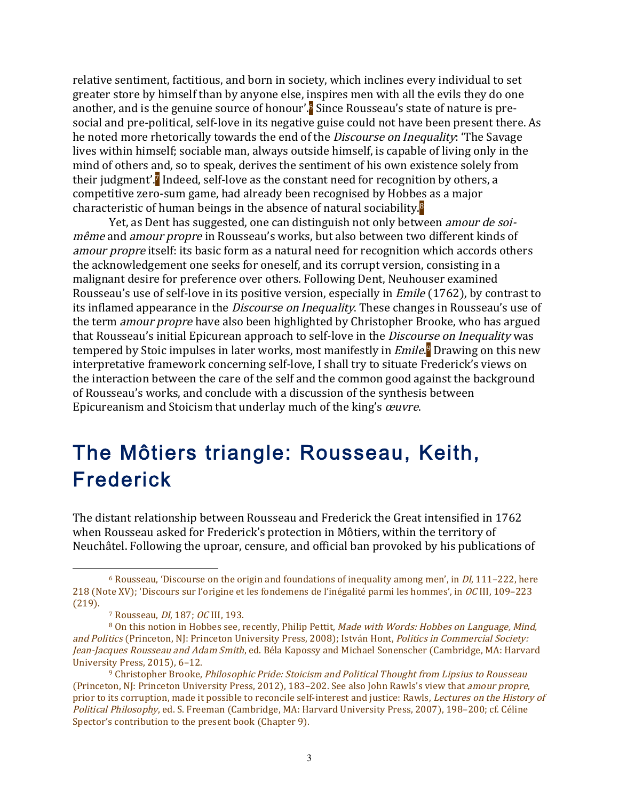relative sentiment, factitious, and born in society, which inclines every individual to set greater store by himself than by anyone else, inspires men with all the evils they do one another, and is the genuine source of honour'.<mark>6</mark> Since Rousseau's state of nature is presocial and pre-political, self-love in its negative guise could not have been present there. As he noted more rhetorically towards the end of the Discourse on Inequality: 'The Savage lives within himself; sociable man, always outside himself, is capable of living only in the mind of others and, so to speak, derives the sentiment of his own existence solely from their judgment'.<sup>7</sup> Indeed, self-love as the constant need for recognition by others, a competitive zero-sum game, had already been recognised by Hobbes as a major characteristic of human beings in the absence of natural sociability. $8$ 

Yet, as Dent has suggested, one can distinguish not only between amour de soimême and amour propre in Rousseau's works, but also between two different kinds of amour propre itself: its basic form as a natural need for recognition which accords others the acknowledgement one seeks for oneself, and its corrupt version, consisting in a malignant desire for preference over others. Following Dent, Neuhouser examined Rousseau's use of self-love in its positive version, especially in Emile (1762), by contrast to its inflamed appearance in the Discourse on Inequality. These changes in Rousseau's use of the term amour propre have also been highlighted by Christopher Brooke, who has argued that Rousseau's initial Epicurean approach to self-love in the *Discourse on Inequality* was tempered by Stoic impulses in later works, most manifestly in *Emile.* Drawing on this new interpretative framework concerning self-love, I shall try to situate Frederick's views on the interaction between the care of the self and the common good against the background of Rousseau's works, and conclude with a discussion of the synthesis between Epicureanism and Stoicism that underlay much of the king's œuvre.

# The Môtiers triangle: Rousseau, Keith, Frederick

The distant relationship between Rousseau and Frederick the Great intensified in 1762 when Rousseau asked for Frederick's protection in Môtiers, within the territory of Neuchâtel. Following the uproar, censure, and official ban provoked by his publications of

 $6$  Rousseau, 'Discourse on the origin and foundations of inequality among men', in *DI*, 111–222, here 218 (Note XV); 'Discours sur l'origine et les fondemens de l'inégalité parmi les hommes', in OC III, 109–223 (219).

<sup>7</sup> Rousseau, DI, 187; OC III, 193.

<sup>8</sup> On this notion in Hobbes see, recently, Philip Pettit, Made with Words: Hobbes on Language, Mind, and Politics (Princeton, NJ: Princeton University Press, 2008); István Hont, Politics in Commercial Society: Jean-Jacques Rousseau and Adam Smith, ed. Béla Kapossy and Michael Sonenscher (Cambridge, MA: Harvard University Press, 2015), 6–12.

<sup>9</sup> Christopher Brooke, Philosophic Pride: Stoicism and Political Thought from Lipsius to Rousseau (Princeton, NJ: Princeton University Press, 2012), 183-202. See also John Rawls's view that *amour propre*, prior to its corruption, made it possible to reconcile self-interest and justice: Rawls, Lectures on the History of Political Philosophy, ed. S. Freeman (Cambridge, MA: Harvard University Press, 2007), 198–200; cf. Céline Spector's contribution to the present book (Chapter 9).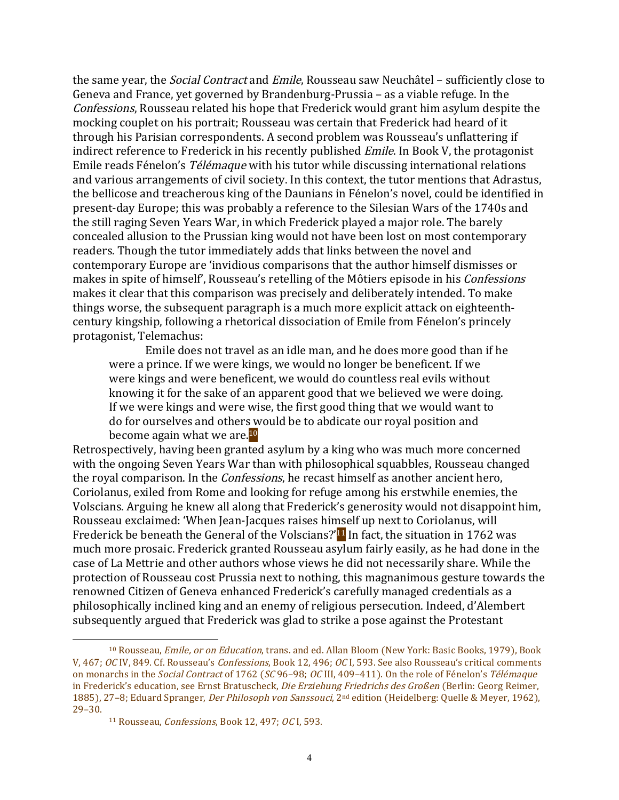the same year, the *Social Contract* and *Emile*, Rousseau saw Neuchâtel – sufficiently close to Geneva and France, yet governed by Brandenburg-Prussia – as a viable refuge. In the Confessions, Rousseau related his hope that Frederick would grant him asylum despite the mocking couplet on his portrait; Rousseau was certain that Frederick had heard of it through his Parisian correspondents. A second problem was Rousseau's unflattering if indirect reference to Frederick in his recently published *Emile*. In Book V, the protagonist Emile reads Fénelon's Télémaque with his tutor while discussing international relations and various arrangements of civil society. In this context, the tutor mentions that Adrastus, the bellicose and treacherous king of the Daunians in Fénelon's novel, could be identified in present-day Europe; this was probably a reference to the Silesian Wars of the 1740s and the still raging Seven Years War, in which Frederick played a major role. The barely concealed allusion to the Prussian king would not have been lost on most contemporary readers. Though the tutor immediately adds that links between the novel and contemporary Europe are 'invidious comparisons that the author himself dismisses or makes in spite of himself'. Rousseau's retelling of the Môtiers episode in his *Confessions* makes it clear that this comparison was precisely and deliberately intended. To make things worse, the subsequent paragraph is a much more explicit attack on eighteenthcentury kingship, following a rhetorical dissociation of Emile from Fénelon's princely protagonist, Telemachus:

Emile does not travel as an idle man, and he does more good than if he were a prince. If we were kings, we would no longer be beneficent. If we were kings and were beneficent, we would do countless real evils without knowing it for the sake of an apparent good that we believed we were doing. If we were kings and were wise, the first good thing that we would want to do for ourselves and others would be to abdicate our royal position and become again what we are.<sup>10</sup>

Retrospectively, having been granted asylum by a king who was much more concerned with the ongoing Seven Years War than with philosophical squabbles, Rousseau changed the royal comparison. In the Confessions, he recast himself as another ancient hero, Coriolanus, exiled from Rome and looking for refuge among his erstwhile enemies, the Volscians. Arguing he knew all along that Frederick's generosity would not disappoint him, Rousseau exclaimed: 'When Jean-Jacques raises himself up next to Coriolanus, will Frederick be beneath the General of the Volscians?'<sup>11</sup> In fact, the situation in 1762 was much more prosaic. Frederick granted Rousseau asylum fairly easily, as he had done in the case of La Mettrie and other authors whose views he did not necessarily share. While the protection of Rousseau cost Prussia next to nothing, this magnanimous gesture towards the renowned Citizen of Geneva enhanced Frederick's carefully managed credentials as a philosophically inclined king and an enemy of religious persecution. Indeed, d'Alembert subsequently argued that Frederick was glad to strike a pose against the Protestant

<sup>10</sup> Rousseau, Emile, or on Education, trans. and ed. Allan Bloom (New York: Basic Books, 1979), Book V, 467; OC IV, 849. Cf. Rousseau's Confessions, Book 12, 496; OC I, 593. See also Rousseau's critical comments on monarchs in the Social Contract of 1762 (SC 96–98; OC III, 409–411). On the role of Fénelon's Télémaque in Frederick's education, see Ernst Bratuscheck, *Die Erziehung Friedrichs des Großen* (Berlin: Georg Reimer, 1885), 27–8; Eduard Spranger, Der Philosoph von Sanssouci, 2nd edition (Heidelberg: Quelle & Meyer, 1962), 29–30.

<sup>&</sup>lt;sup>11</sup> Rousseau, *Confessions*, Book 12, 497; OCI, 593.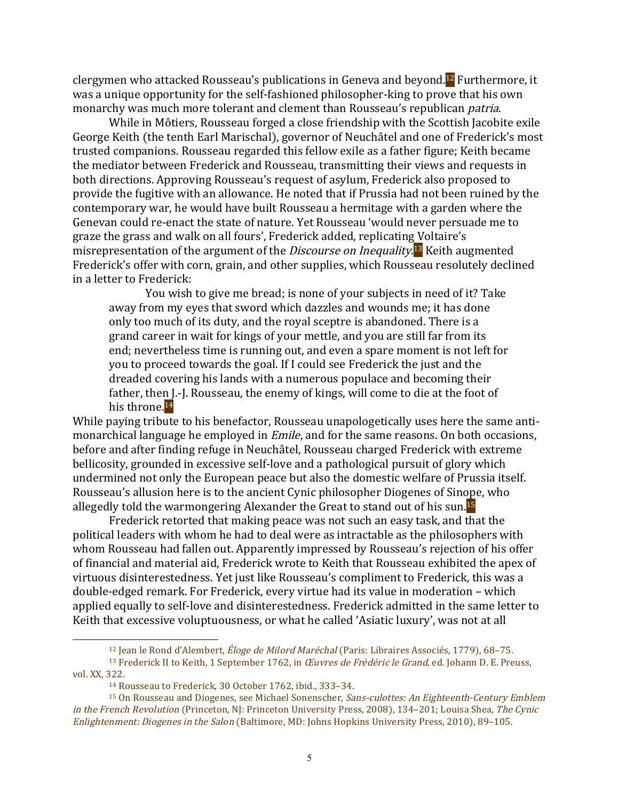clergymen who attacked Rousseau's publications in Geneva and beyond.<sup>12</sup> Furthermore, it was a unique opportunity for the self-fashioned philosopher-king to prove that his own monarchy was much more tolerant and clement than Rousseau's republican *patria*.

While in Môtiers, Rousseau forged a close friendship with the Scottish Jacobite exile George Keith (the tenth Earl Marischal), governor of Neuchâtel and one of Frederick's most trusted companions. Rousseau regarded this fellow exile as a father figure; Keith became the mediator between Frederick and Rousseau, transmitting their views and requests in both directions. Approving Rousseau's request of asylum, Frederick also proposed to provide the fugitive with an allowance. He noted that if Prussia had not been ruined by the contemporary war, he would have built Rousseau a hermitage with a garden where the Genevan could re-enact the state of nature. Yet Rousseau 'would never persuade me to graze the grass and walk on all fours', Frederick added, replicating Voltaire's misrepresentation of the argument of the *Discourse on Inequality*.<sup>13</sup> Keith augmented Frederick's offer with corn, grain, and other supplies, which Rousseau resolutely declined in a letter to Frederick:

You wish to give me bread; is none of your subjects in need of it? Take away from my eyes that sword which dazzles and wounds me; it has done only too much of its duty, and the royal sceptre is abandoned. There is a grand career in wait for kings of your mettle, and you are still far from its end; nevertheless time is running out, and even a spare moment is not left for you to proceed towards the goal. If I could see Frederick the just and the dreaded covering his lands with a numerous populace and becoming their father, then J.-J. Rousseau, the enemy of kings, will come to die at the foot of his throne.<sup>14</sup>

While paying tribute to his benefactor, Rousseau unapologetically uses here the same antimonarchical language he employed in Emile, and for the same reasons. On both occasions, before and after finding refuge in Neuchâtel, Rousseau charged Frederick with extreme bellicosity, grounded in excessive self-love and a pathological pursuit of glory which undermined not only the European peace but also the domestic welfare of Prussia itself. Rousseau's allusion here is to the ancient Cynic philosopher Diogenes of Sinope, who allegedly told the warmongering Alexander the Great to stand out of his sun.<sup>15</sup>

Frederick retorted that making peace was not such an easy task, and that the political leaders with whom he had to deal were as intractable as the philosophers with whom Rousseau had fallen out. Apparently impressed by Rousseau's rejection of his offer of financial and material aid, Frederick wrote to Keith that Rousseau exhibited the apex of virtuous disinterestedness. Yet just like Rousseau's compliment to Frederick, this was a double-edged remark. For Frederick, every virtue had its value in moderation – which applied equally to self-love and disinterestedness. Frederick admitted in the same letter to Keith that excessive voluptuousness, or what he called 'Asiatic luxury', was not at all

<sup>&</sup>lt;sup>12</sup> Jean le Rond d'Alembert, Éloge de Milord Maréchal (Paris: Libraires Associés, 1779), 68-75.

<sup>&</sup>lt;sup>13</sup> Frederick II to Keith, 1 September 1762, in *Œuvres de Frédéric le Grand*, ed. Johann D. E. Preuss, vol. XX, 322.

<sup>14</sup> Rousseau to Frederick, 30 October 1762, ibid., 333–34.

<sup>&</sup>lt;sup>15</sup> On Rousseau and Diogenes, see Michael Sonenscher, Sans-culottes: An Eighteenth-Century Emblem in the French Revolution (Princeton, NJ: Princeton University Press, 2008), 134-201; Louisa Shea, The Cynic Enlightenment: Diogenes in the Salon (Baltimore, MD: Johns Hopkins University Press, 2010), 89–105.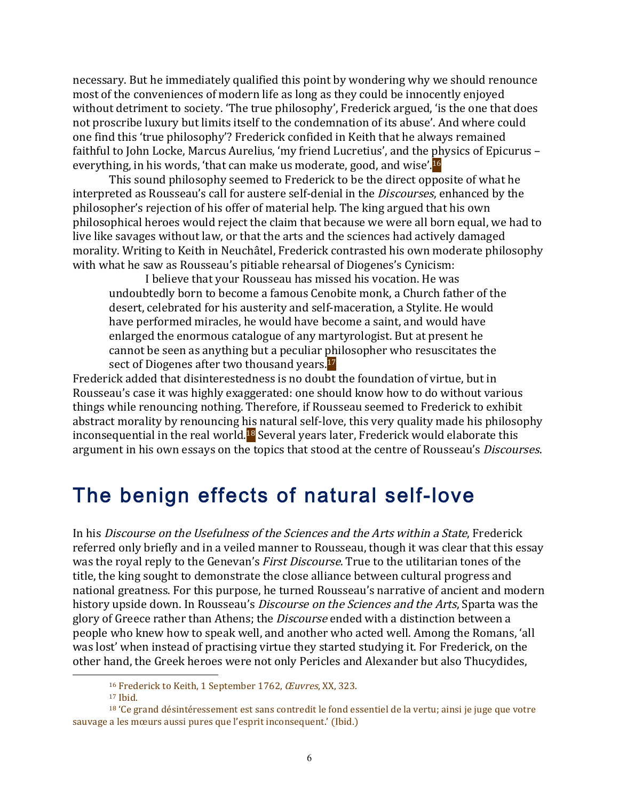necessary. But he immediately qualified this point by wondering why we should renounce most of the conveniences of modern life as long as they could be innocently enjoyed without detriment to society. 'The true philosophy', Frederick argued, 'is the one that does not proscribe luxury but limits itself to the condemnation of its abuse'. And where could one find this 'true philosophy'? Frederick confided in Keith that he always remained faithful to John Locke, Marcus Aurelius, 'my friend Lucretius', and the physics of Epicurus – everything, in his words, 'that can make us moderate, good, and wise'.<sup>16</sup>

This sound philosophy seemed to Frederick to be the direct opposite of what he interpreted as Rousseau's call for austere self-denial in the Discourses, enhanced by the philosopher's rejection of his offer of material help. The king argued that his own philosophical heroes would reject the claim that because we were all born equal, we had to live like savages without law, or that the arts and the sciences had actively damaged morality. Writing to Keith in Neuchâtel, Frederick contrasted his own moderate philosophy with what he saw as Rousseau's pitiable rehearsal of Diogenes's Cynicism:

I believe that your Rousseau has missed his vocation. He was undoubtedly born to become a famous Cenobite monk, a Church father of the desert, celebrated for his austerity and self-maceration, a Stylite. He would have performed miracles, he would have become a saint, and would have enlarged the enormous catalogue of any martyrologist. But at present he cannot be seen as anything but a peculiar philosopher who resuscitates the sect of Diogenes after two thousand years.<sup>17</sup>

Frederick added that disinterestedness is no doubt the foundation of virtue, but in Rousseau's case it was highly exaggerated: one should know how to do without various things while renouncing nothing. Therefore, if Rousseau seemed to Frederick to exhibit abstract morality by renouncing his natural self-love, this very quality made his philosophy inconsequential in the real world.<sup>18</sup> Several years later, Frederick would elaborate this argument in his own essays on the topics that stood at the centre of Rousseau's Discourses.

# The benign effects of natural self-love

In his Discourse on the Usefulness of the Sciences and the Arts within a State, Frederick referred only briefly and in a veiled manner to Rousseau, though it was clear that this essay was the royal reply to the Genevan's *First Discourse*. True to the utilitarian tones of the title, the king sought to demonstrate the close alliance between cultural progress and national greatness. For this purpose, he turned Rousseau's narrative of ancient and modern history upside down. In Rousseau's *Discourse on the Sciences and the Arts*, Sparta was the glory of Greece rather than Athens; the Discourse ended with a distinction between a people who knew how to speak well, and another who acted well. Among the Romans, 'all was lost' when instead of practising virtue they started studying it. For Frederick, on the other hand, the Greek heroes were not only Pericles and Alexander but also Thucydides,

<sup>16</sup> Frederick to Keith, 1 September 1762, Œuvres, XX, 323.

 $17$  Ibid.

<sup>18</sup> 'Ce grand désintéressement est sans contredit le fond essentiel de la vertu; ainsi je juge que votre sauvage a les mœurs aussi pures que l'esprit inconsequent.' (Ibid.)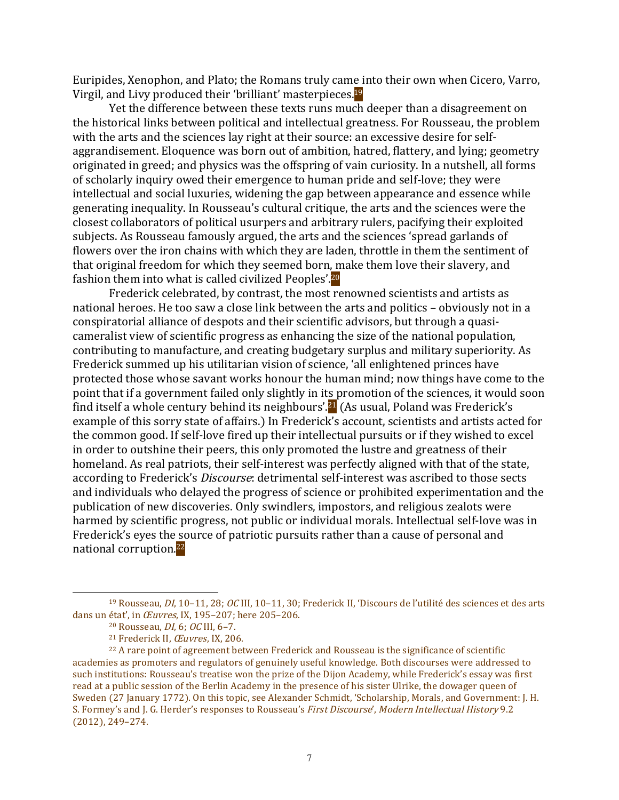Euripides, Xenophon, and Plato; the Romans truly came into their own when Cicero, Varro, Virgil, and Livy produced their 'brilliant' masterpieces.19

Yet the difference between these texts runs much deeper than a disagreement on the historical links between political and intellectual greatness. For Rousseau, the problem with the arts and the sciences lay right at their source: an excessive desire for selfaggrandisement. Eloquence was born out of ambition, hatred, flattery, and lying; geometry originated in greed; and physics was the offspring of vain curiosity. In a nutshell, all forms of scholarly inquiry owed their emergence to human pride and self-love; they were intellectual and social luxuries, widening the gap between appearance and essence while generating inequality. In Rousseau's cultural critique, the arts and the sciences were the closest collaborators of political usurpers and arbitrary rulers, pacifying their exploited subjects. As Rousseau famously argued, the arts and the sciences 'spread garlands of flowers over the iron chains with which they are laden, throttle in them the sentiment of that original freedom for which they seemed born, make them love their slavery, and fashion them into what is called civilized Peoples'. 20

Frederick celebrated, by contrast, the most renowned scientists and artists as national heroes. He too saw a close link between the arts and politics – obviously not in a conspiratorial alliance of despots and their scientific advisors, but through a quasicameralist view of scientific progress as enhancing the size of the national population, contributing to manufacture, and creating budgetary surplus and military superiority. As Frederick summed up his utilitarian vision of science, 'all enlightened princes have protected those whose savant works honour the human mind; now things have come to the point that if a government failed only slightly in its promotion of the sciences, it would soon find itself a whole century behind its neighbours'.<sup>21</sup> (As usual, Poland was Frederick's example of this sorry state of affairs.) In Frederick's account, scientists and artists acted for the common good. If self-love fired up their intellectual pursuits or if they wished to excel in order to outshine their peers, this only promoted the lustre and greatness of their homeland. As real patriots, their self-interest was perfectly aligned with that of the state, according to Frederick's Discourse: detrimental self-interest was ascribed to those sects and individuals who delayed the progress of science or prohibited experimentation and the publication of new discoveries. Only swindlers, impostors, and religious zealots were harmed by scientific progress, not public or individual morals. Intellectual self-love was in Frederick's eyes the source of patriotic pursuits rather than a cause of personal and national corruption.22

<sup>19</sup> Rousseau, DI, 10–11, 28; OC III, 10–11, 30; Frederick II, 'Discours de l'utilité des sciences et des arts dans un état', in Œuvres, IX, 195–207; here 205–206.

<sup>20</sup> Rousseau, DI, 6; OC III, 6–7.

<sup>21</sup> Frederick II, Œuvres, IX, 206.

 $22$  A rare point of agreement between Frederick and Rousseau is the significance of scientific academies as promoters and regulators of genuinely useful knowledge. Both discourses were addressed to such institutions: Rousseau's treatise won the prize of the Dijon Academy, while Frederick's essay was first read at a public session of the Berlin Academy in the presence of his sister Ulrike, the dowager queen of Sweden (27 January 1772). On this topic, see Alexander Schmidt, 'Scholarship, Morals, and Government: J. H. S. Formey's and J. G. Herder's responses to Rousseau's First Discourse', Modern Intellectual History 9.2 (2012), 249–274.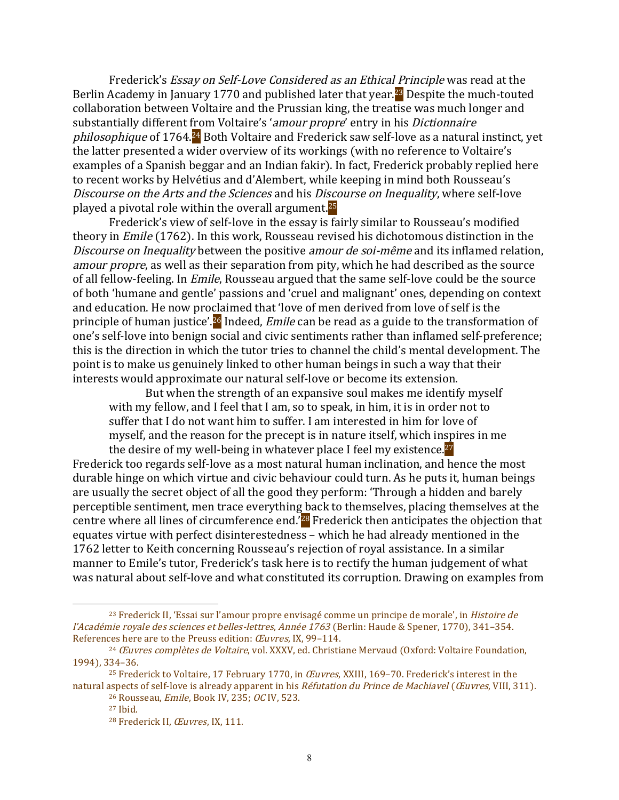Frederick's Essay on Self-Love Considered as an Ethical Principle was read at the Berlin Academy in January 1770 and published later that year.<sup>23</sup> Despite the much-touted collaboration between Voltaire and the Prussian king, the treatise was much longer and substantially different from Voltaire's 'amour propre' entry in his Dictionnaire philosophique of 1764.<sup>24</sup> Both Voltaire and Frederick saw self-love as a natural instinct, yet the latter presented a wider overview of its workings (with no reference to Voltaire's examples of a Spanish beggar and an Indian fakir). In fact, Frederick probably replied here to recent works by Helvétius and d'Alembert, while keeping in mind both Rousseau's Discourse on the Arts and the Sciences and his Discourse on Inequality, where self-love played a pivotal role within the overall argument.25

Frederick's view of self-love in the essay is fairly similar to Rousseau's modified theory in Emile (1762). In this work, Rousseau revised his dichotomous distinction in the Discourse on Inequality between the positive amour de soi-même and its inflamed relation, amour propre, as well as their separation from pity, which he had described as the source of all fellow-feeling. In Emile, Rousseau argued that the same self-love could be the source of both 'humane and gentle' passions and 'cruel and malignant' ones, depending on context and education. He now proclaimed that 'love of men derived from love of self is the principle of human justice'.<sup>26</sup> Indeed, *Emile* can be read as a guide to the transformation of one's self-love into benign social and civic sentiments rather than inflamed self-preference; this is the direction in which the tutor tries to channel the child's mental development. The point is to make us genuinely linked to other human beings in such a way that their interests would approximate our natural self-love or become its extension.

But when the strength of an expansive soul makes me identify myself with my fellow, and I feel that I am, so to speak, in him, it is in order not to suffer that I do not want him to suffer. I am interested in him for love of myself, and the reason for the precept is in nature itself, which inspires in me the desire of my well-being in whatever place I feel my existence.<sup>27</sup>

Frederick too regards self-love as a most natural human inclination, and hence the most durable hinge on which virtue and civic behaviour could turn. As he puts it, human beings are usually the secret object of all the good they perform: 'Through a hidden and barely perceptible sentiment, men trace everything back to themselves, placing themselves at the centre where all lines of circumference end.<sup>'28</sup> Frederick then anticipates the objection that equates virtue with perfect disinterestedness – which he had already mentioned in the 1762 letter to Keith concerning Rousseau's rejection of royal assistance. In a similar manner to Emile's tutor, Frederick's task here is to rectify the human judgement of what was natural about self-love and what constituted its corruption. Drawing on examples from

<sup>&</sup>lt;sup>23</sup> Frederick II, 'Essai sur l'amour propre envisagé comme un principe de morale', in *Histoire de* l'Académie royale des sciences et belles-lettres, Année 1763 (Berlin: Haude & Spener, 1770), 341–354. References here are to the Preuss edition: Œuvres, IX, 99–114.

<sup>&</sup>lt;sup>24</sup> Œuvres complètes de Voltaire, vol. XXXV, ed. Christiane Mervaud (Oxford: Voltaire Foundation, 1994), 334–36.

<sup>&</sup>lt;sup>25</sup> Frederick to Voltaire, 17 February 1770, in *Œuvres*, XXIII, 169-70. Frederick's interest in the natural aspects of self-love is already apparent in his Réfutation du Prince de Machiavel (Œuvres, VIII, 311).

<sup>26</sup> Rousseau, Emile, Book IV, 235; OC IV, 523.

<sup>27</sup> Ibid.

<sup>28</sup> Frederick II, Œuvres, IX, 111.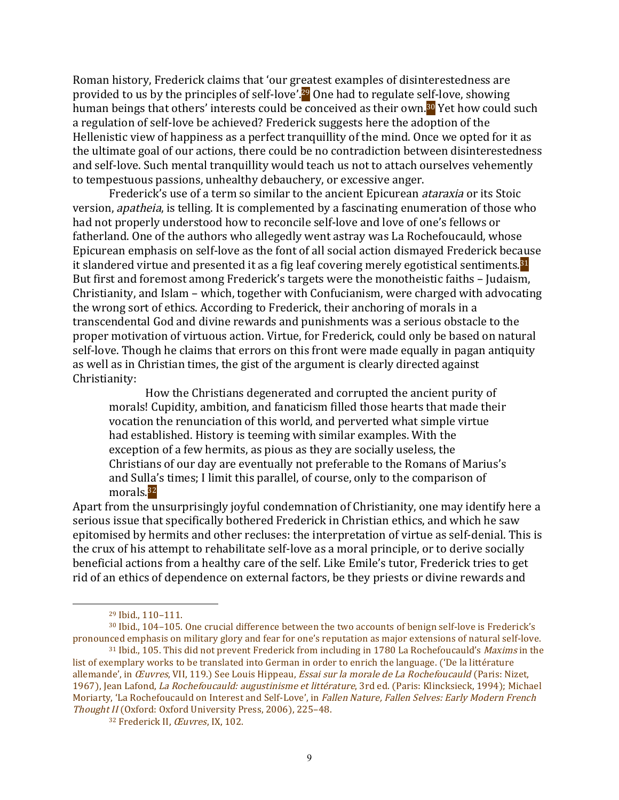Roman history, Frederick claims that 'our greatest examples of disinterestedness are provided to us by the principles of self-love'.29 One had to regulate self-love, showing human beings that others' interests could be conceived as their own.<sup>30</sup> Yet how could such a regulation of self-love be achieved? Frederick suggests here the adoption of the Hellenistic view of happiness as a perfect tranquillity of the mind. Once we opted for it as the ultimate goal of our actions, there could be no contradiction between disinterestedness and self-love. Such mental tranquillity would teach us not to attach ourselves vehemently to tempestuous passions, unhealthy debauchery, or excessive anger.

Frederick's use of a term so similar to the ancient Epicurean *ataraxia* or its Stoic version, apatheia, is telling. It is complemented by a fascinating enumeration of those who had not properly understood how to reconcile self-love and love of one's fellows or fatherland. One of the authors who allegedly went astray was La Rochefoucauld, whose Epicurean emphasis on self-love as the font of all social action dismayed Frederick because it slandered virtue and presented it as a fig leaf covering merely egotistical sentiments. $31$ But first and foremost among Frederick's targets were the monotheistic faiths – Judaism, Christianity, and Islam – which, together with Confucianism, were charged with advocating the wrong sort of ethics. According to Frederick, their anchoring of morals in a transcendental God and divine rewards and punishments was a serious obstacle to the proper motivation of virtuous action. Virtue, for Frederick, could only be based on natural self-love. Though he claims that errors on this front were made equally in pagan antiquity as well as in Christian times, the gist of the argument is clearly directed against Christianity:

How the Christians degenerated and corrupted the ancient purity of morals! Cupidity, ambition, and fanaticism filled those hearts that made their vocation the renunciation of this world, and perverted what simple virtue had established. History is teeming with similar examples. With the exception of a few hermits, as pious as they are socially useless, the Christians of our day are eventually not preferable to the Romans of Marius's and Sulla's times; I limit this parallel, of course, only to the comparison of morals.<sup>32</sup>

Apart from the unsurprisingly joyful condemnation of Christianity, one may identify here a serious issue that specifically bothered Frederick in Christian ethics, and which he saw epitomised by hermits and other recluses: the interpretation of virtue as self-denial. This is the crux of his attempt to rehabilitate self-love as a moral principle, or to derive socially beneficial actions from a healthy care of the self. Like Emile's tutor, Frederick tries to get rid of an ethics of dependence on external factors, be they priests or divine rewards and

<sup>29</sup> Ibid., 110–111.

<sup>30</sup> Ibid., 104–105. One crucial difference between the two accounts of benign self-love is Frederick's pronounced emphasis on military glory and fear for one's reputation as major extensions of natural self-love.

<sup>31</sup> Ibid., 105. This did not prevent Frederick from including in 1780 La Rochefoucauld's Maxims in the list of exemplary works to be translated into German in order to enrich the language. ('De la littérature allemande', in Œuvres, VII, 119.) See Louis Hippeau, Essai sur la morale de La Rochefoucauld (Paris: Nizet, 1967), Jean Lafond, La Rochefoucauld: augustinisme et littérature, 3rd ed. (Paris: Klincksieck, 1994); Michael Moriarty, 'La Rochefoucauld on Interest and Self-Love', in Fallen Nature, Fallen Selves: Early Modern French Thought II (Oxford: Oxford University Press, 2006), 225–48.

<sup>32</sup> Frederick II, Œuvres, IX, 102.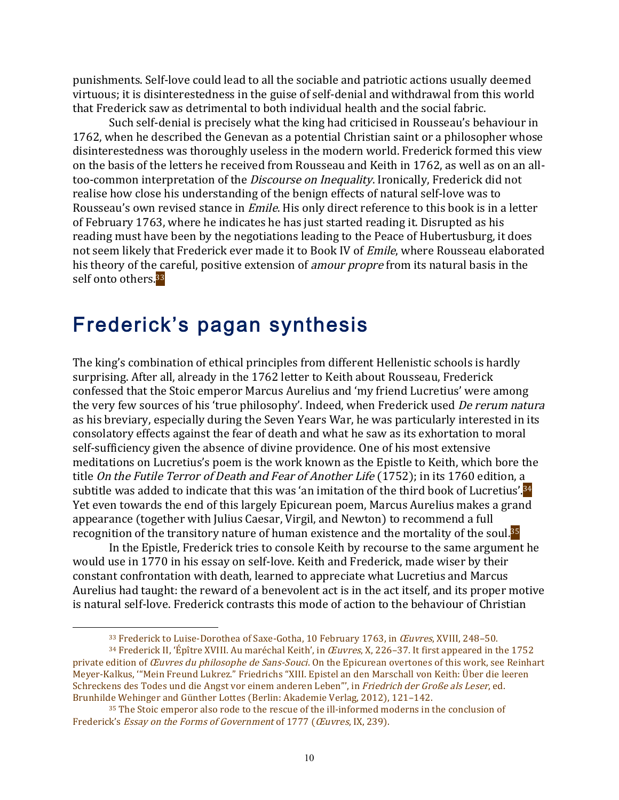punishments. Self-love could lead to all the sociable and patriotic actions usually deemed virtuous; it is disinterestedness in the guise of self-denial and withdrawal from this world that Frederick saw as detrimental to both individual health and the social fabric.

Such self-denial is precisely what the king had criticised in Rousseau's behaviour in 1762, when he described the Genevan as a potential Christian saint or a philosopher whose disinterestedness was thoroughly useless in the modern world. Frederick formed this view on the basis of the letters he received from Rousseau and Keith in 1762, as well as on an alltoo-common interpretation of the Discourse on Inequality. Ironically, Frederick did not realise how close his understanding of the benign effects of natural self-love was to Rousseau's own revised stance in Emile. His only direct reference to this book is in a letter of February 1763, where he indicates he has just started reading it. Disrupted as his reading must have been by the negotiations leading to the Peace of Hubertusburg, it does not seem likely that Frederick ever made it to Book IV of Emile, where Rousseau elaborated his theory of the careful, positive extension of *amour propre* from its natural basis in the self onto others.<sup>33</sup>

### Frederick's pagan synthesis

 $\overline{a}$ 

The king's combination of ethical principles from different Hellenistic schools is hardly surprising. After all, already in the 1762 letter to Keith about Rousseau, Frederick confessed that the Stoic emperor Marcus Aurelius and 'my friend Lucretius' were among the very few sources of his 'true philosophy'. Indeed, when Frederick used De rerum natura as his breviary, especially during the Seven Years War, he was particularly interested in its consolatory effects against the fear of death and what he saw as its exhortation to moral self-sufficiency given the absence of divine providence. One of his most extensive meditations on Lucretius's poem is the work known as the Epistle to Keith, which bore the title On the Futile Terror of Death and Fear of Another Life (1752); in its 1760 edition, a subtitle was added to indicate that this was 'an imitation of the third book of Lucretius'. $34$ Yet even towards the end of this largely Epicurean poem, Marcus Aurelius makes a grand appearance (together with Julius Caesar, Virgil, and Newton) to recommend a full recognition of the transitory nature of human existence and the mortality of the soul.<sup>35</sup>

In the Epistle, Frederick tries to console Keith by recourse to the same argument he would use in 1770 in his essay on self-love. Keith and Frederick, made wiser by their constant confrontation with death, learned to appreciate what Lucretius and Marcus Aurelius had taught: the reward of a benevolent act is in the act itself, and its proper motive is natural self-love. Frederick contrasts this mode of action to the behaviour of Christian

<sup>&</sup>lt;sup>33</sup> Frederick to Luise-Dorothea of Saxe-Gotha, 10 February 1763, in *Œuvres*, XVIII, 248–50.<br><sup>34</sup> Frederick II, 'Épître XVIII. Au maréchal Keith', in *Œuvres*, X, 226–37. It first appeared in the 1752

private edition of Œuvres du philosophe de Sans-Souci. On the Epicurean overtones of this work, see Reinhart Meyer-Kalkus, '"Mein Freund Lukrez." Friedrichs "XIII. Epistel an den Marschall von Keith: Über die leeren Schreckens des Todes und die Angst vor einem anderen Leben"', in Friedrich der Große als Leser, ed. Brunhilde Wehinger and Günther Lottes (Berlin: Akademie Verlag, 2012), 121–142.

<sup>35</sup> The Stoic emperor also rode to the rescue of the ill-informed moderns in the conclusion of Frederick's Essay on the Forms of Government of 1777 (Œuvres, IX, 239).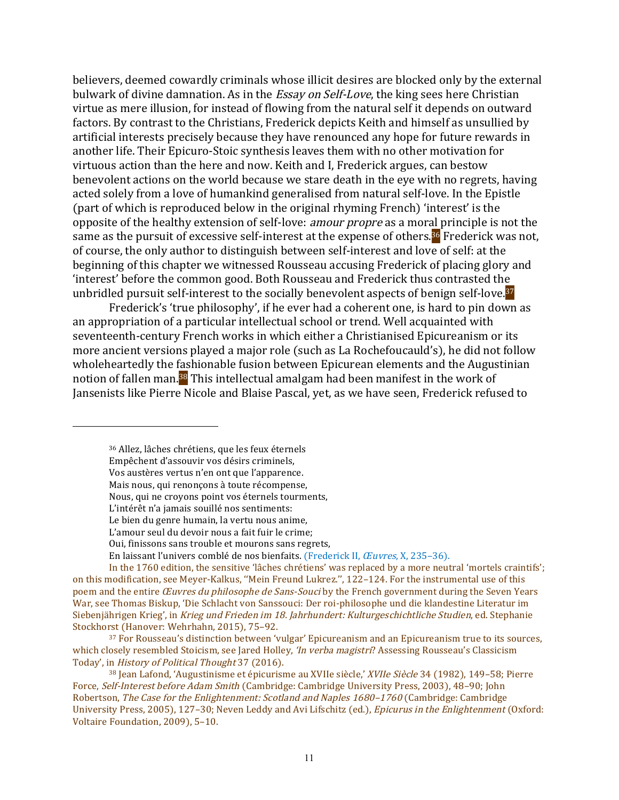believers, deemed cowardly criminals whose illicit desires are blocked only by the external bulwark of divine damnation. As in the *Essay on Self-Love*, the king sees here Christian virtue as mere illusion, for instead of flowing from the natural self it depends on outward factors. By contrast to the Christians, Frederick depicts Keith and himself as unsullied by artificial interests precisely because they have renounced any hope for future rewards in another life. Their Epicuro-Stoic synthesis leaves them with no other motivation for virtuous action than the here and now. Keith and I, Frederick argues, can bestow benevolent actions on the world because we stare death in the eye with no regrets, having acted solely from a love of humankind generalised from natural self-love. In the Epistle (part of which is reproduced below in the original rhyming French) 'interest' is the opposite of the healthy extension of self-love: amour propre as a moral principle is not the same as the pursuit of excessive self-interest at the expense of others.<sup>36</sup> Frederick was not, of course, the only author to distinguish between self-interest and love of self: at the beginning of this chapter we witnessed Rousseau accusing Frederick of placing glory and 'interest' before the common good. Both Rousseau and Frederick thus contrasted the unbridled pursuit self-interest to the socially benevolent aspects of benign self-love.<sup>37</sup>

Frederick's 'true philosophy', if he ever had a coherent one, is hard to pin down as an appropriation of a particular intellectual school or trend. Well acquainted with seventeenth-century French works in which either a Christianised Epicureanism or its more ancient versions played a major role (such as La Rochefoucauld's), he did not follow wholeheartedly the fashionable fusion between Epicurean elements and the Augustinian notion of fallen man.<sup>38</sup> This intellectual amalgam had been manifest in the work of Jansenists like Pierre Nicole and Blaise Pascal, yet, as we have seen, Frederick refused to

<sup>36</sup> Allez, lâches chrétiens, que les feux éternels

Empêchent d'assouvir vos désirs criminels,

Vos austères vertus n'en ont que l'apparence.

Mais nous, qui renonçons à toute récompense,

Nous, qui ne croyons point vos éternels tourments,

L'intérêt n'a jamais souillé nos sentiments:

Le bien du genre humain, la vertu nous anime,

L'amour seul du devoir nous a fait fuir le crime;

Oui, finissons sans trouble et mourons sans regrets,

En laissant l'univers comblé de nos bienfaits. (Frederick II, Œuvres, X, 235–36).

In the 1760 edition, the sensitive 'lâches chrétiens' was replaced by a more neutral 'mortels craintifs'; on this modification, see Meyer-Kalkus, ''Mein Freund Lukrez.'', 122–124. For the instrumental use of this poem and the entire Œuvres du philosophe de Sans-Souci by the French government during the Seven Years War, see Thomas Biskup, 'Die Schlacht von Sanssouci: Der roi-philosophe und die klandestine Literatur im Siebenjährigen Krieg', in Krieg und Frieden im 18. Jahrhundert: Kulturgeschichtliche Studien, ed. Stephanie Stockhorst (Hanover: Wehrhahn, 2015), 75–92.

<sup>37</sup> For Rousseau's distinction between 'vulgar' Epicureanism and an Epicureanism true to its sources, which closely resembled Stoicism, see Jared Holley, *'In verba magistri*? Assessing Rousseau's Classicism Today', in History of Political Thought 37 (2016).

<sup>38</sup> Jean Lafond, 'Augustinisme et épicurisme au XVIIe siècle,' XVIIe Siècle 34 (1982), 149–58; Pierre Force, Self-Interest before Adam Smith (Cambridge: Cambridge University Press, 2003), 48–90; John Robertson, The Case for the Enlightenment: Scotland and Naples 1680–1760 (Cambridge: Cambridge University Press, 2005), 127–30; Neven Leddy and Avi Lifschitz (ed.), Epicurus in the Enlightenment (Oxford: Voltaire Foundation, 2009), 5–10.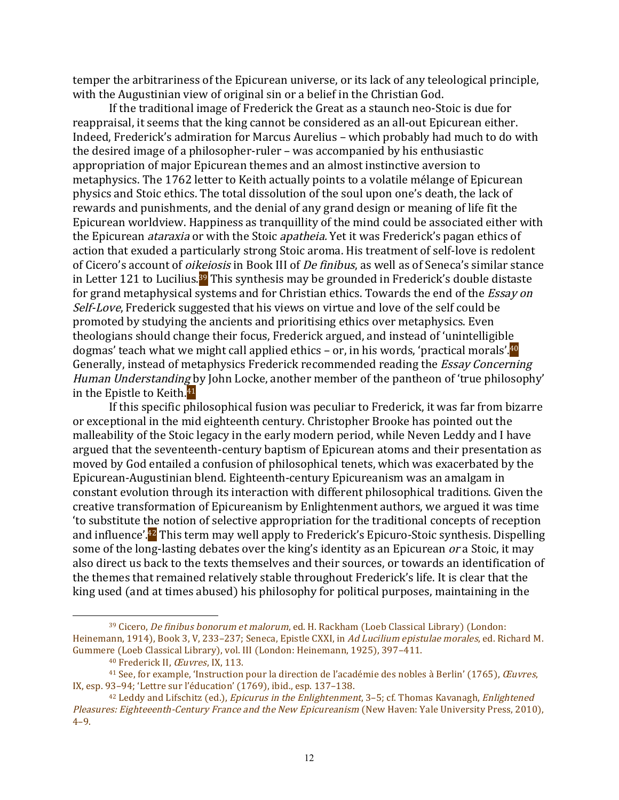temper the arbitrariness of the Epicurean universe, or its lack of any teleological principle, with the Augustinian view of original sin or a belief in the Christian God.

If the traditional image of Frederick the Great as a staunch neo-Stoic is due for reappraisal, it seems that the king cannot be considered as an all-out Epicurean either. Indeed, Frederick's admiration for Marcus Aurelius – which probably had much to do with the desired image of a philosopher-ruler – was accompanied by his enthusiastic appropriation of major Epicurean themes and an almost instinctive aversion to metaphysics. The 1762 letter to Keith actually points to a volatile mélange of Epicurean physics and Stoic ethics. The total dissolution of the soul upon one's death, the lack of rewards and punishments, and the denial of any grand design or meaning of life fit the Epicurean worldview. Happiness as tranquillity of the mind could be associated either with the Epicurean ataraxia or with the Stoic apatheia. Yet it was Frederick's pagan ethics of action that exuded a particularly strong Stoic aroma. His treatment of self-love is redolent of Cicero's account of oikeiosis in Book III of De finibus, as well as of Seneca's similar stance in Letter 121 to Lucilius.<sup>39</sup> This synthesis may be grounded in Frederick's double distaste for grand metaphysical systems and for Christian ethics. Towards the end of the *Essay on* Self-Love, Frederick suggested that his views on virtue and love of the self could be promoted by studying the ancients and prioritising ethics over metaphysics. Even theologians should change their focus, Frederick argued, and instead of 'unintelligible dogmas' teach what we might call applied ethics – or, in his words, 'practical morals'. $40$ Generally, instead of metaphysics Frederick recommended reading the Essay Concerning Human Understanding by John Locke, another member of the pantheon of 'true philosophy' in the Epistle to Keith.<sup>41</sup>

If this specific philosophical fusion was peculiar to Frederick, it was far from bizarre or exceptional in the mid eighteenth century. Christopher Brooke has pointed out the malleability of the Stoic legacy in the early modern period, while Neven Leddy and I have argued that the seventeenth-century baptism of Epicurean atoms and their presentation as moved by God entailed a confusion of philosophical tenets, which was exacerbated by the Epicurean-Augustinian blend. Eighteenth-century Epicureanism was an amalgam in constant evolution through its interaction with different philosophical traditions. Given the creative transformation of Epicureanism by Enlightenment authors, we argued it was time 'to substitute the notion of selective appropriation for the traditional concepts of reception and influence'.<sup>42</sup> This term may well apply to Frederick's Epicuro-Stoic synthesis. Dispelling some of the long-lasting debates over the king's identity as an Epicurean *or* a Stoic, it may also direct us back to the texts themselves and their sources, or towards an identification of the themes that remained relatively stable throughout Frederick's life. It is clear that the king used (and at times abused) his philosophy for political purposes, maintaining in the

<sup>39</sup> Cicero, De finibus bonorum et malorum, ed. H. Rackham (Loeb Classical Library) (London: Heinemann, 1914), Book 3, V, 233–237; Seneca, Epistle CXXI, in Ad Lucilium epistulae morales, ed. Richard M. Gummere (Loeb Classical Library), vol. III (London: Heinemann, 1925), 397–411.

<sup>40</sup> Frederick II, Œuvres, IX, 113.

<sup>41</sup> See, for example, 'Instruction pour la direction de l'académie des nobles à Berlin' (1765), Œuvres, IX, esp. 93–94; 'Lettre sur l'éducation' (1769), ibid., esp. 137–138.

<sup>42</sup> Leddy and Lifschitz (ed.), Epicurus in the Enlightenment, 3–5; cf. Thomas Kavanagh, Enlightened Pleasures: Eighteeenth-Century France and the New Epicureanism (New Haven: Yale University Press, 2010), 4–9.